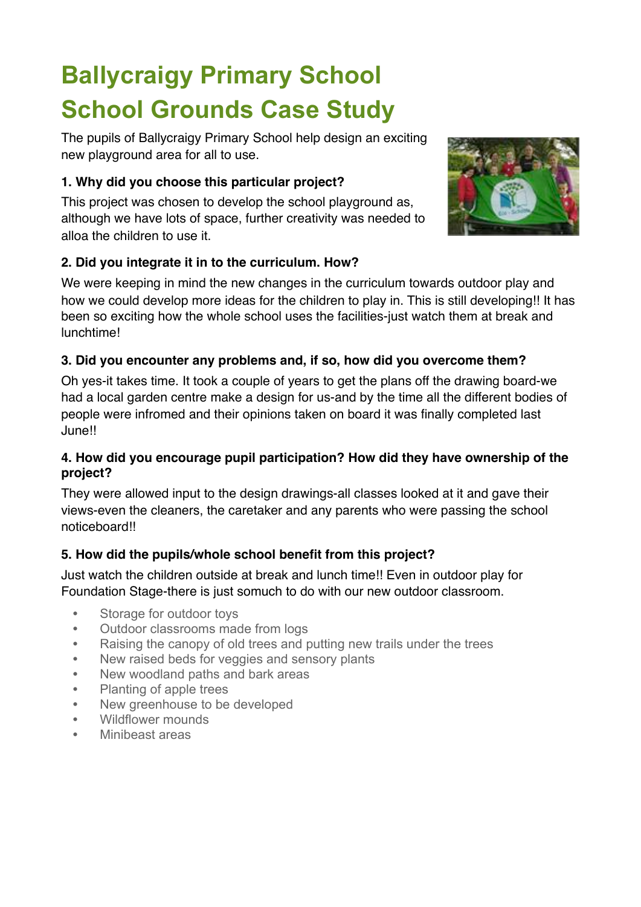# **Ballycraigy Primary School School Grounds Case Study**

The pupils of Ballycraigy Primary School help design an exciting new playground area for all to use.

# **1. Why did you choose this particular project?**

This project was chosen to develop the school playground as, although we have lots of space, further creativity was needed to alloa the children to use it.



We were keeping in mind the new changes in the curriculum towards outdoor play and how we could develop more ideas for the children to play in. This is still developing!! It has been so exciting how the whole school uses the facilities-just watch them at break and lunchtime!

# **3. Did you encounter any problems and, if so, how did you overcome them?**

Oh yes-it takes time. It took a couple of years to get the plans off the drawing board-we had a local garden centre make a design for us-and by the time all the different bodies of people were infromed and their opinions taken on board it was finally completed last June!!

#### **4. How did you encourage pupil participation? How did they have ownership of the project?**

They were allowed input to the design drawings-all classes looked at it and gave their views-even the cleaners, the caretaker and any parents who were passing the school noticeboard!!

# **5. How did the pupils/whole school benefit from this project?**

Just watch the children outside at break and lunch time!! Even in outdoor play for Foundation Stage-there is just somuch to do with our new outdoor classroom.

- **•** Storage for outdoor toys
- **•** Outdoor classrooms made from logs
- **•** Raising the canopy of old trees and putting new trails under the trees
- **•** New raised beds for veggies and sensory plants
- **•** New woodland paths and bark areas
- **•** Planting of apple trees
- **•** New greenhouse to be developed
- **•** Wildflower mounds
- **•** Minibeast areas